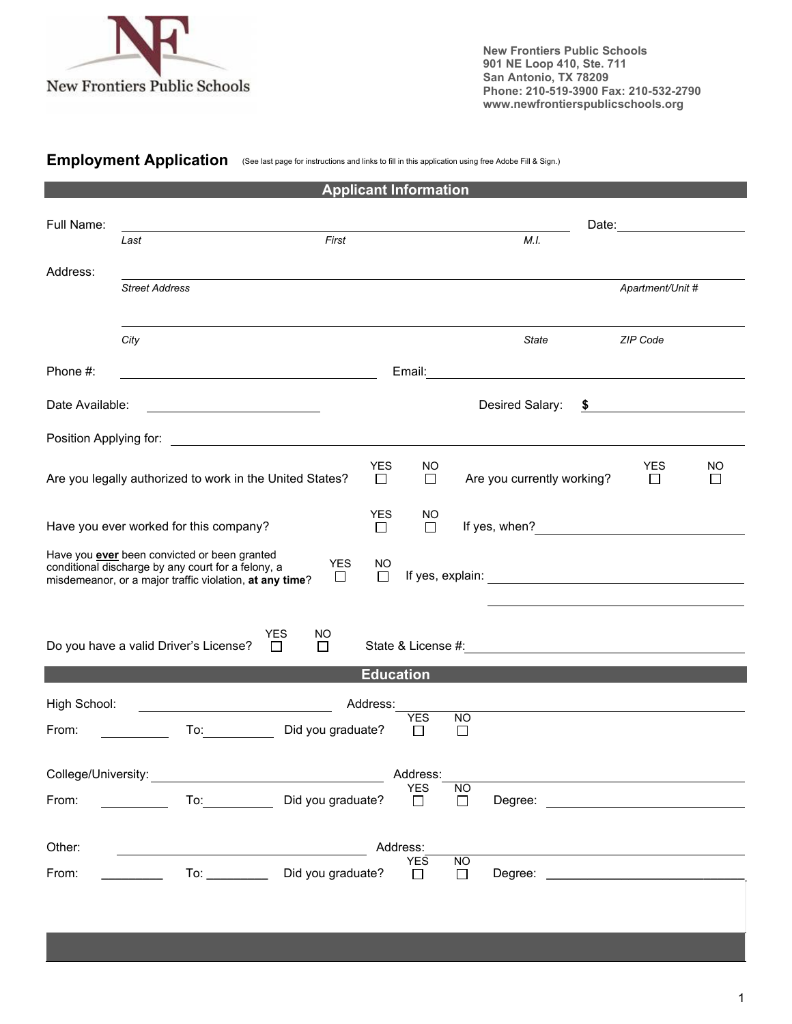

**New Frontiers Public Schools 901 NE Loop 410, Ste. 711 San Antonio, TX 78209 Phone: 210-519-3900 Fax: 210-532-2790 www.newfrontierspublicschools.org**

**Employment Application** (See last page for instructions and links to fill in this application using free Adobe Fill & Sign.)

| <b>Applicant Information</b>                                                                                                                                                                                 |                                                                                                                                                                                                                                |                                |                      |                      |                     |                                                                                                                 |    |                      |    |
|--------------------------------------------------------------------------------------------------------------------------------------------------------------------------------------------------------------|--------------------------------------------------------------------------------------------------------------------------------------------------------------------------------------------------------------------------------|--------------------------------|----------------------|----------------------|---------------------|-----------------------------------------------------------------------------------------------------------------|----|----------------------|----|
| Full Name:                                                                                                                                                                                                   | Last                                                                                                                                                                                                                           | First                          |                      |                      |                     | M.I.                                                                                                            |    |                      |    |
| Address:                                                                                                                                                                                                     |                                                                                                                                                                                                                                |                                |                      |                      |                     |                                                                                                                 |    |                      |    |
|                                                                                                                                                                                                              | <b>Street Address</b>                                                                                                                                                                                                          |                                |                      |                      |                     |                                                                                                                 |    | Apartment/Unit #     |    |
|                                                                                                                                                                                                              | City                                                                                                                                                                                                                           |                                |                      |                      |                     | State                                                                                                           |    | ZIP Code             |    |
| Phone #:                                                                                                                                                                                                     |                                                                                                                                                                                                                                |                                |                      |                      |                     | Email: 2008. 2009. 2010. 2010. 2010. 2010. 2010. 2010. 2011. 2012. 2012. 2012. 2014. 2014. 2014. 2014. 2014. 20 |    |                      |    |
| Date Available:                                                                                                                                                                                              | <u> 1989 - Johann Barbara, martin amerikan per</u>                                                                                                                                                                             |                                |                      |                      |                     | Desired Salary:                                                                                                 | \$ |                      |    |
| Position Applying for: the control of the control of the control of the control of the control of the control o                                                                                              |                                                                                                                                                                                                                                |                                |                      |                      |                     |                                                                                                                 |    |                      |    |
|                                                                                                                                                                                                              | Are you legally authorized to work in the United States?                                                                                                                                                                       |                                | <b>YES</b><br>$\Box$ | NO<br>$\Box$         |                     | Are you currently working?                                                                                      |    | <b>YES</b><br>$\Box$ | NO |
| <b>YES</b><br>Have you ever worked for this company?<br>□                                                                                                                                                    |                                                                                                                                                                                                                                |                                |                      | NO<br>$\Box$         |                     |                                                                                                                 |    |                      |    |
| Have you ever been convicted or been granted<br><b>YES</b><br><b>NO</b><br>conditional discharge by any court for a felony, a<br>$\Box$<br>$\Box$<br>misdemeanor, or a major traffic violation, at any time? |                                                                                                                                                                                                                                |                                |                      |                      |                     |                                                                                                                 |    |                      |    |
|                                                                                                                                                                                                              | Do you have a valid Driver's License?                                                                                                                                                                                          | YES<br>NO.<br>$\Box$<br>$\Box$ |                      |                      |                     |                                                                                                                 |    |                      |    |
|                                                                                                                                                                                                              |                                                                                                                                                                                                                                |                                | <b>Education</b>     |                      |                     |                                                                                                                 |    |                      |    |
| High School:                                                                                                                                                                                                 |                                                                                                                                                                                                                                |                                | Address:             |                      |                     |                                                                                                                 |    |                      |    |
| From:                                                                                                                                                                                                        | To: the contract of the contract of the contract of the contract of the contract of the contract of the contract of the contract of the contract of the contract of the contract of the contract of the contract of the contra | Did you graduate?              |                      | <b>YES</b><br>$\Box$ | <b>NO</b><br>$\Box$ |                                                                                                                 |    |                      |    |
|                                                                                                                                                                                                              | College/University: Weblate Science Science Science Science Science Science Science Science Science Science Science                                                                                                            |                                |                      | Address:             |                     |                                                                                                                 |    |                      |    |
| From:                                                                                                                                                                                                        | Did you graduate?<br>To: and the state of the state of the state of the state of the state of the state of the state of the state o                                                                                            |                                |                      | <b>YES</b><br>$\Box$ | NO.<br>$\Box$       | Degree:                                                                                                         |    |                      |    |
| Other:<br>Address:                                                                                                                                                                                           |                                                                                                                                                                                                                                |                                |                      |                      |                     |                                                                                                                 |    |                      |    |
| From:                                                                                                                                                                                                        | $\mathsf{To:}\_\_\_\_\_\_\_\_\$                                                                                                                                                                                                | Did you graduate?              |                      | <b>YES</b><br>$\Box$ | <b>NO</b><br>$\Box$ |                                                                                                                 |    |                      |    |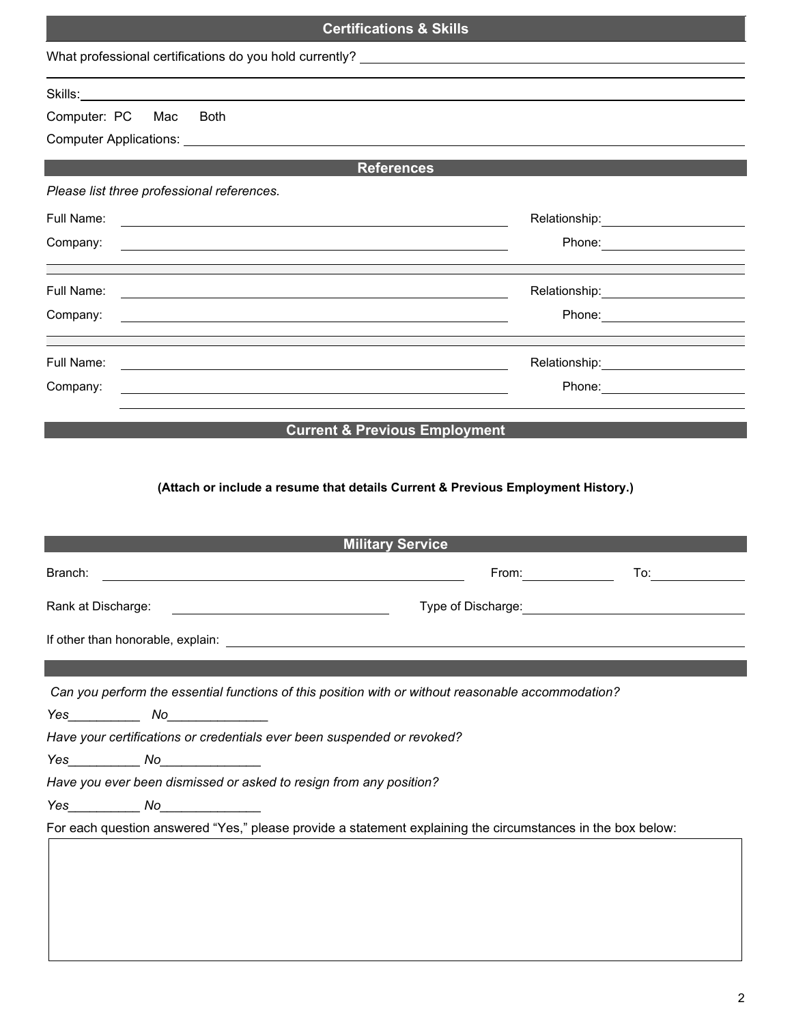| <b>Certifications &amp; Skills</b>                                      |                                                                                                                                                                                                                                                                  |  |  |  |  |  |
|-------------------------------------------------------------------------|------------------------------------------------------------------------------------------------------------------------------------------------------------------------------------------------------------------------------------------------------------------|--|--|--|--|--|
|                                                                         |                                                                                                                                                                                                                                                                  |  |  |  |  |  |
|                                                                         |                                                                                                                                                                                                                                                                  |  |  |  |  |  |
| Computer: PC Mac<br><b>Both</b>                                         |                                                                                                                                                                                                                                                                  |  |  |  |  |  |
|                                                                         |                                                                                                                                                                                                                                                                  |  |  |  |  |  |
|                                                                         | <b>References</b>                                                                                                                                                                                                                                                |  |  |  |  |  |
| Please list three professional references.                              |                                                                                                                                                                                                                                                                  |  |  |  |  |  |
| Full Name:                                                              | <u> 1989 - Johann Barn, amerikan besteman besteman besteman besteman besteman besteman besteman besteman besteman</u>                                                                                                                                            |  |  |  |  |  |
| Company:                                                                |                                                                                                                                                                                                                                                                  |  |  |  |  |  |
|                                                                         |                                                                                                                                                                                                                                                                  |  |  |  |  |  |
| Full Name:                                                              | Relationship: _________________________                                                                                                                                                                                                                          |  |  |  |  |  |
| Company:                                                                |                                                                                                                                                                                                                                                                  |  |  |  |  |  |
| Full Name:                                                              |                                                                                                                                                                                                                                                                  |  |  |  |  |  |
| Company:                                                                | Phone: _______________________                                                                                                                                                                                                                                   |  |  |  |  |  |
|                                                                         |                                                                                                                                                                                                                                                                  |  |  |  |  |  |
| Branch:                                                                 | <b>Military Service</b><br>To:<br>From: The contract of the contract of the contract of the contract of the contract of the contract of the contract of the contract of the contract of the contract of the contract of the contract of the contract of the cont |  |  |  |  |  |
| Rank at Discharge:                                                      | Type of Discharge:                                                                                                                                                                                                                                               |  |  |  |  |  |
|                                                                         |                                                                                                                                                                                                                                                                  |  |  |  |  |  |
|                                                                         |                                                                                                                                                                                                                                                                  |  |  |  |  |  |
|                                                                         |                                                                                                                                                                                                                                                                  |  |  |  |  |  |
|                                                                         | Can you perform the essential functions of this position with or without reasonable accommodation?                                                                                                                                                               |  |  |  |  |  |
| $Yes$ $No$                                                              |                                                                                                                                                                                                                                                                  |  |  |  |  |  |
| Have your certifications or credentials ever been suspended or revoked? |                                                                                                                                                                                                                                                                  |  |  |  |  |  |
| $Yes$ $No$                                                              |                                                                                                                                                                                                                                                                  |  |  |  |  |  |
| Have you ever been dismissed or asked to resign from any position?      |                                                                                                                                                                                                                                                                  |  |  |  |  |  |
|                                                                         |                                                                                                                                                                                                                                                                  |  |  |  |  |  |
|                                                                         | For each question answered "Yes," please provide a statement explaining the circumstances in the box below:                                                                                                                                                      |  |  |  |  |  |
|                                                                         |                                                                                                                                                                                                                                                                  |  |  |  |  |  |
|                                                                         |                                                                                                                                                                                                                                                                  |  |  |  |  |  |
|                                                                         |                                                                                                                                                                                                                                                                  |  |  |  |  |  |
|                                                                         |                                                                                                                                                                                                                                                                  |  |  |  |  |  |
|                                                                         |                                                                                                                                                                                                                                                                  |  |  |  |  |  |
|                                                                         |                                                                                                                                                                                                                                                                  |  |  |  |  |  |